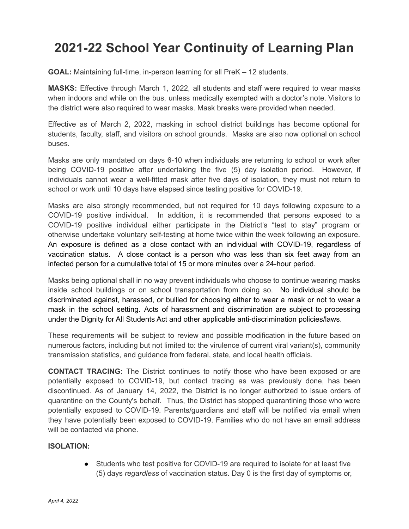## **2021-22 School Year Continuity of Learning Plan**

**GOAL:** Maintaining full-time, in-person learning for all PreK – 12 students.

**MASKS:** Effective through March 1, 2022, all students and staff were required to wear masks when indoors and while on the bus, unless medically exempted with a doctor's note. Visitors to the district were also required to wear masks. Mask breaks were provided when needed.

Effective as of March 2, 2022, masking in school district buildings has become optional for students, faculty, staff, and visitors on school grounds. Masks are also now optional on school buses.

Masks are only mandated on days 6-10 when individuals are returning to school or work after being COVID-19 positive after undertaking the five (5) day isolation period. However, if individuals cannot wear a well-fitted mask after five days of isolation, they must not return to school or work until 10 days have elapsed since testing positive for COVID-19.

Masks are also strongly recommended, but not required for 10 days following exposure to a COVID-19 positive individual. In addition, it is recommended that persons exposed to a COVID-19 positive individual either participate in the District's "test to stay" program or otherwise undertake voluntary self-testing at home twice within the week following an exposure. An exposure is defined as a close contact with an individual with COVID-19, regardless of vaccination status. A close contact is a person who was less than six feet away from an infected person for a cumulative total of 15 or more minutes over a 24-hour period.

Masks being optional shall in no way prevent individuals who choose to continue wearing masks inside school buildings or on school transportation from doing so. No individual should be discriminated against, harassed, or bullied for choosing either to wear a mask or not to wear a mask in the school setting. Acts of harassment and discrimination are subject to processing under the Dignity for All Students Act and other applicable anti-discrimination policies/laws.

These requirements will be subject to review and possible modification in the future based on numerous factors, including but not limited to: the virulence of current viral variant(s), community transmission statistics, and guidance from federal, state, and local health officials.

**CONTACT TRACING:** The District continues to notify those who have been exposed or are potentially exposed to COVID-19, but contact tracing as was previously done, has been discontinued. As of January 14, 2022, the District is no longer authorized to issue orders of quarantine on the County's behalf. Thus, the District has stopped quarantining those who were potentially exposed to COVID-19. Parents/guardians and staff will be notified via email when they have potentially been exposed to COVID-19. Families who do not have an email address will be contacted via phone.

## **ISOLATION:**

● Students who test positive for COVID-19 are required to isolate for at least five (5) days *regardless* of vaccination status. Day 0 is the first day of symptoms or,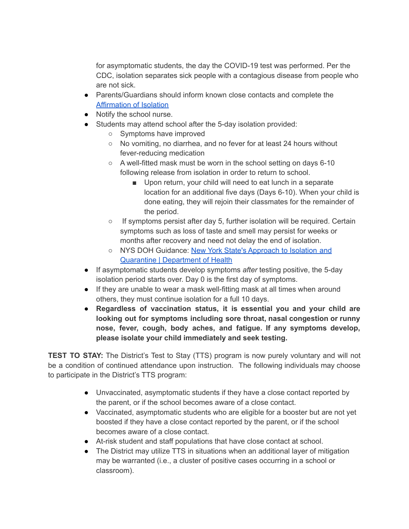for asymptomatic students, the day the COVID-19 test was performed. Per the CDC, isolation separates sick people with a contagious disease from people who are not sick.

- Parents/Guardians should inform known close contacts and complete the [Affirmation](https://coronavirus.health.ny.gov/system/files/documents/2022/01/affirmation_of_isolation_011222.pdfdocuments/2022/01/affirmation_of_isolation_011222.pdf) of Isolation
- Notify the school nurse.
- Students may attend school after the 5-day isolation provided:
	- Symptoms have improved
	- No vomiting, no diarrhea, and no fever for at least 24 hours without fever-reducing medication
	- A well-fitted mask must be worn in the school setting on days 6-10 following release from isolation in order to return to school.
		- Upon return, your child will need to eat lunch in a separate location for an additional five days (Days 6-10). When your child is done eating, they will rejoin their classmates for the remainder of the period.
	- If symptoms persist after day 5, further isolation will be required. Certain symptoms such as loss of taste and smell may persist for weeks or months after recovery and need not delay the end of isolation.
	- NYS DOH Guidance: New York State's [Approach](https://coronavirus.health.ny.gov/new-york-state-contact-tracing) to Isolation and Quarantine | [Department](https://coronavirus.health.ny.gov/new-york-state-contact-tracing) of Health
- If asymptomatic students develop symptoms *after* testing positive, the 5-day isolation period starts over. Day 0 is the first day of symptoms.
- If they are unable to wear a mask well-fitting mask at all times when around others, they must continue isolation for a full 10 days.
- **Regardless of vaccination status, it is essential you and your child are looking out for symptoms including sore throat, nasal congestion or runny nose, fever, cough, body aches, and fatigue. If any symptoms develop, please isolate your child immediately and seek testing.**

**TEST TO STAY:** The District's Test to Stay (TTS) program is now purely voluntary and will not be a condition of continued attendance upon instruction. The following individuals may choose to participate in the District's TTS program:

- Unvaccinated, asymptomatic students if they have a close contact reported by the parent, or if the school becomes aware of a close contact.
- Vaccinated, asymptomatic students who are eligible for a booster but are not yet boosted if they have a close contact reported by the parent, or if the school becomes aware of a close contact.
- At-risk student and staff populations that have close contact at school.
- The District may utilize TTS in situations when an additional layer of mitigation may be warranted (i.e., a cluster of positive cases occurring in a school or classroom).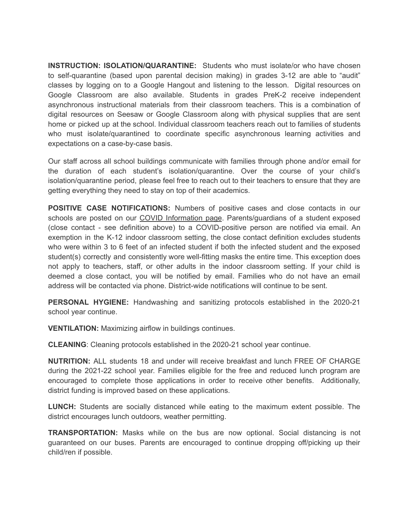**INSTRUCTION: ISOLATION/QUARANTINE:** Students who must isolate/or who have chosen to self-quarantine (based upon parental decision making) in grades 3-12 are able to "audit" classes by logging on to a Google Hangout and listening to the lesson. Digital resources on Google Classroom are also available. Students in grades PreK-2 receive independent asynchronous instructional materials from their classroom teachers. This is a combination of digital resources on Seesaw or Google Classroom along with physical supplies that are sent home or picked up at the school. Individual classroom teachers reach out to families of students who must isolate/quarantined to coordinate specific asynchronous learning activities and expectations on a case-by-case basis.

Our staff across all school buildings communicate with families through phone and/or email for the duration of each student's isolation/quarantine. Over the course of your child's isolation/quarantine period, please feel free to reach out to their teachers to ensure that they are getting everything they need to stay on top of their academics.

**POSITIVE CASE NOTIFICATIONS:** Numbers of positive cases and close contacts in our schools are posted on our COVID [Information](https://www.millbrookcsd.org/domain/233) page. Parents/guardians of a student exposed (close contact - see definition above) to a COVID-positive person are notified via email. An exemption in the K-12 indoor classroom setting, the close contact definition excludes students who were within 3 to 6 feet of an infected student if both the infected student and the exposed student(s) correctly and consistently wore well-fitting masks the entire time. This exception does not apply to teachers, staff, or other adults in the indoor classroom setting. If your child is deemed a close contact, you will be notified by email. Families who do not have an email address will be contacted via phone. District-wide notifications will continue to be sent.

**PERSONAL HYGIENE:** Handwashing and sanitizing protocols established in the 2020-21 school year continue.

**VENTILATION:** Maximizing airflow in buildings continues.

**CLEANING**: Cleaning protocols established in the 2020-21 school year continue.

**NUTRITION:** ALL students 18 and under will receive breakfast and lunch FREE OF CHARGE during the 2021-22 school year. Families eligible for the free and reduced lunch program are encouraged to complete those applications in order to receive other benefits. Additionally, district funding is improved based on these applications.

**LUNCH:** Students are socially distanced while eating to the maximum extent possible. The district encourages lunch outdoors, weather permitting.

**TRANSPORTATION:** Masks while on the bus are now optional. Social distancing is not guaranteed on our buses. Parents are encouraged to continue dropping off/picking up their child/ren if possible.